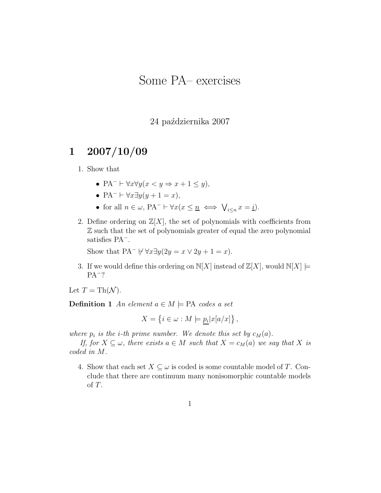# Some PA– exercises

### 24 października 2007

## 1 2007/10/09

#### 1. Show that

- PA<sup>-</sup>  $\vdash \forall x \forall y (x \leq y \Rightarrow x + 1 \leq y),$
- $PA^- \vdash \forall x \exists y (y+1=x),$
- for all  $n \in \omega$ ,  $PA^- \vdash \forall x (x \leq \underline{n} \iff \bigvee_{i \leq n} x = \underline{i}).$
- 2. Define ordering on  $\mathbb{Z}[X]$ , the set of polynomials with coefficients from Z such that the set of polynomials greater of equal the zero polynomial satisfies PA<sup>−</sup> .

Show that  $PA^- \forall x \exists y (2y = x \vee 2y + 1 = x)$ .

3. If we would define this ordering on  $N[X]$  instead of  $\mathbb{Z}[X]$ , would  $N[X] \models$ PA<sup>−</sup> ?

Let  $T = \text{Th}(\mathcal{N}).$ 

**Definition 1** An element  $a \in M$   $\models$  PA codes a set

$$
X = \left\{ i \in \omega : M \models \underline{p_i} |x[a/x] \right\},\,
$$

where  $p_i$  is the *i*-th prime number. We denote this set by  $c_M(a)$ .

If, for  $X \subseteq \omega$ , there exists  $a \in M$  such that  $X = c_M(a)$  we say that X is coded in M.

4. Show that each set  $X \subseteq \omega$  is coded is some countable model of T. Conclude that there are continuum many nonisomorphic countable models of T.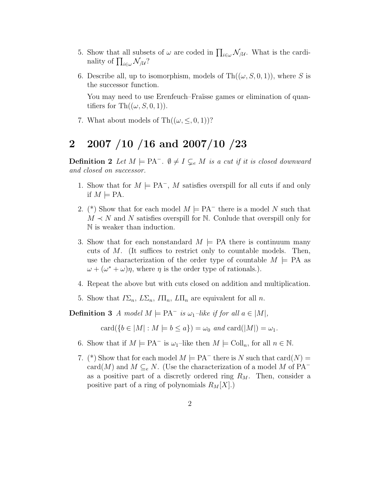- 5. Show that all subsets of  $\omega$  are coded in  $\prod_{i\in\omega} \mathcal{N}_{/\mathcal{U}}$ . What is the cardinality of  $\prod_{i\in\omega} \mathcal{N}_{/\mathcal{U}}?$
- 6. Describe all, up to isomorphism, models of  $Th((\omega, S, 0, 1))$ , where S is the successor function.

You may need to use Erenfeuch–Fraïsse games or elimination of quantifiers for Th $((\omega, S, 0, 1))$ .

7. What about models of  $\text{Th}((\omega, \leq, 0, 1))$ ?

### 2 2007 /10 /16 and 2007/10 /23

**Definition 2** Let  $M \models \text{PA}^-$ .  $\emptyset \neq I \subsetneq M$  is a cut if it is closed downward and closed on successor.

- 1. Show that for  $M \models PA^{-}$ , M satisfies overspill for all cuts if and only if  $M \models PA$ .
- 2. (\*) Show that for each model  $M \models PA^{-}$  there is a model N such that  $M \prec N$  and N satisfies overspill for N. Conlude that overspill only for N is weaker than induction.
- 3. Show that for each nonstandard  $M \models PA$  there is continuum many cuts of M. (It suffices to restrict only to countable models. Then, use the characterization of the order type of countable  $M \models PA$  as  $\omega + (\omega^* + \omega)\eta$ , where  $\eta$  is the order type of rationals.).
- 4. Repeat the above but with cuts closed on addition and multiplication.
- 5. Show that  $I\Sigma_n$ ,  $L\Sigma_n$ ,  $I\Pi_n$ ,  $L\Pi_n$  are equivalent for all n.

**Definition 3** A model  $M \models PA^{-}$  is  $\omega_1$ -like if for all  $a \in |M|$ ,

 $card({b \in |M| : M \models b \leq a}) = \omega_0$  and  $card(|M|) = \omega_1$ .

- 6. Show that if  $M \models PA^{-}$  is  $\omega_1$ -like then  $M \models Coll_n$ , for all  $n \in \mathbb{N}$ .
- 7. (\*) Show that for each model  $M \models PA^{-}$  there is N such that  $card(N) =$ card(M) and  $M \subseteq_e N$ . (Use the characterization of a model M of PA<sup>-</sup> as a positive part of a discretly ordered ring  $R_M$ . Then, consider a positive part of a ring of polynomials  $R_M[X]$ .)